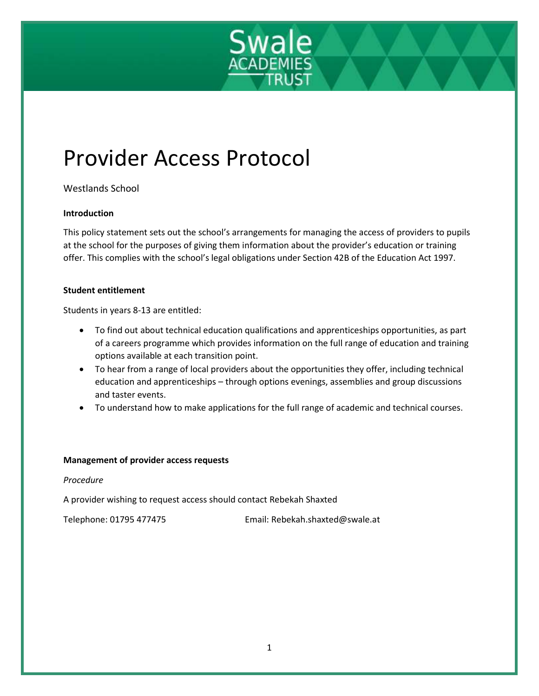

# Provider Access Protocol

Westlands School

## **Introduction**

This policy statement sets out the school's arrangements for managing the access of providers to pupils at the school for the purposes of giving them information about the provider's education or training offer. This complies with the school's legal obligations under Section 42B of the Education Act 1997.

## **Student entitlement**

Students in years 8-13 are entitled:

- To find out about technical education qualifications and apprenticeships opportunities, as part of a careers programme which provides information on the full range of education and training options available at each transition point.
- To hear from a range of local providers about the opportunities they offer, including technical education and apprenticeships – through options evenings, assemblies and group discussions and taster events.
- To understand how to make applications for the full range of academic and technical courses.

#### **Management of provider access requests**

#### *Procedure*

A provider wishing to request access should contact Rebekah Shaxted

Telephone: 01795 477475 Email: Rebekah.shaxted@swale.at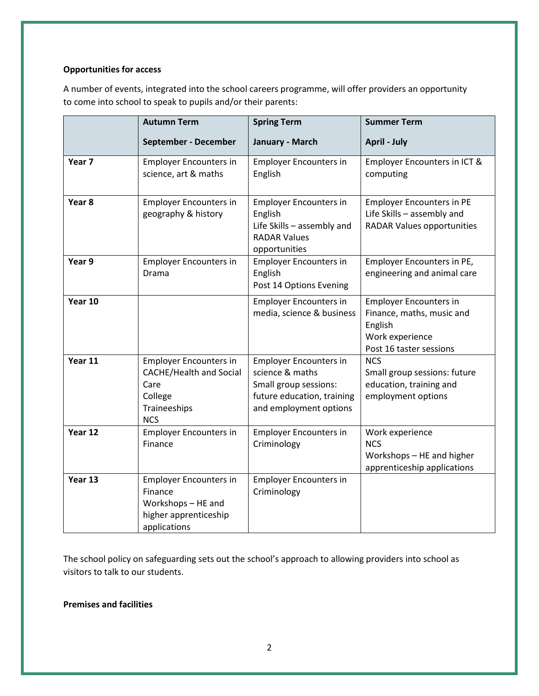#### **Opportunities for access**

A number of events, integrated into the school careers programme, will offer providers an opportunity to come into school to speak to pupils and/or their parents:

|                   | <b>Autumn Term</b>                                                                                               | <b>Spring Term</b>                                                                                                                | <b>Summer Term</b>                                                                                                  |
|-------------------|------------------------------------------------------------------------------------------------------------------|-----------------------------------------------------------------------------------------------------------------------------------|---------------------------------------------------------------------------------------------------------------------|
|                   | September - December                                                                                             | January - March                                                                                                                   | <b>April - July</b>                                                                                                 |
| Year <sub>7</sub> | <b>Employer Encounters in</b><br>science, art & maths                                                            | <b>Employer Encounters in</b><br>English                                                                                          | Employer Encounters in ICT &<br>computing                                                                           |
| Year 8            | <b>Employer Encounters in</b><br>geography & history                                                             | <b>Employer Encounters in</b><br>English<br>Life Skills - assembly and<br><b>RADAR Values</b><br>opportunities                    | <b>Employer Encounters in PE</b><br>Life Skills - assembly and<br><b>RADAR Values opportunities</b>                 |
| Year 9            | <b>Employer Encounters in</b><br>Drama                                                                           | <b>Employer Encounters in</b><br>English<br>Post 14 Options Evening                                                               | Employer Encounters in PE,<br>engineering and animal care                                                           |
| Year 10           |                                                                                                                  | <b>Employer Encounters in</b><br>media, science & business                                                                        | <b>Employer Encounters in</b><br>Finance, maths, music and<br>English<br>Work experience<br>Post 16 taster sessions |
| Year 11           | <b>Employer Encounters in</b><br><b>CACHE/Health and Social</b><br>Care<br>College<br>Traineeships<br><b>NCS</b> | <b>Employer Encounters in</b><br>science & maths<br>Small group sessions:<br>future education, training<br>and employment options | <b>NCS</b><br>Small group sessions: future<br>education, training and<br>employment options                         |
| Year 12           | <b>Employer Encounters in</b><br>Finance                                                                         | <b>Employer Encounters in</b><br>Criminology                                                                                      | Work experience<br><b>NCS</b><br>Workshops - HE and higher<br>apprenticeship applications                           |
| Year 13           | <b>Employer Encounters in</b><br>Finance<br>Workshops - HE and<br>higher apprenticeship<br>applications          | <b>Employer Encounters in</b><br>Criminology                                                                                      |                                                                                                                     |

The school policy on safeguarding sets out the school's approach to allowing providers into school as visitors to talk to our students.

# **Premises and facilities**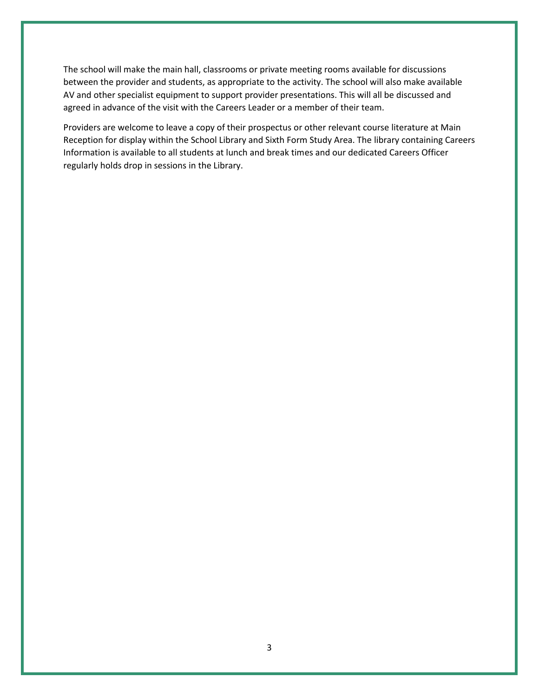The school will make the main hall, classrooms or private meeting rooms available for discussions between the provider and students, as appropriate to the activity. The school will also make available AV and other specialist equipment to support provider presentations. This will all be discussed and agreed in advance of the visit with the Careers Leader or a member of their team.

Providers are welcome to leave a copy of their prospectus or other relevant course literature at Main Reception for display within the School Library and Sixth Form Study Area. The library containing Careers Information is available to all students at lunch and break times and our dedicated Careers Officer regularly holds drop in sessions in the Library.